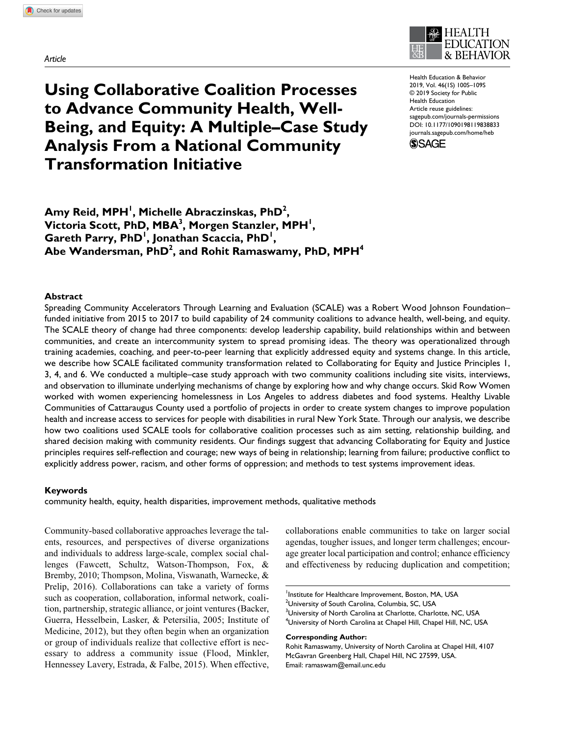*Article*



**Using Collaborative Coalition Processes to Advance Community Health, Well-Being, and Equity: A Multiple–Case Study Analysis From a National Community Transformation Initiative**

https://doi.org/10.1177/1090198119838833 DOI: 10.1177/1090198119838833 Health Education & Behavior 2019, Vol. 46(1S) 100S–109S © 2019 Society for Public Health Education Article reuse guidelines: [sagepub.com/journals-permissions](https://sagepub.com/journals-permissions) [journals.sagepub.com/home/heb](https://journals.sagepub.com/home/heb)



Amy Reid, MPH<sup>I</sup>, Michelle Abraczinskas, PhD<sup>2</sup>, Victoria Scott, PhD, MBA<sup>3</sup>, Morgen Stanzler, MPH<sup>1</sup>, **Gareth Parry, PhD<sup>I</sup>, Jonathan Scaccia, PhD<sup>I</sup>,** Abe Wandersman, PhD<sup>2</sup>, and Rohit Ramaswamy, PhD, MPH<sup>4</sup>

### **Abstract**

Spreading Community Accelerators Through Learning and Evaluation (SCALE) was a Robert Wood Johnson Foundation– funded initiative from 2015 to 2017 to build capability of 24 community coalitions to advance health, well-being, and equity. The SCALE theory of change had three components: develop leadership capability, build relationships within and between communities, and create an intercommunity system to spread promising ideas. The theory was operationalized through training academies, coaching, and peer-to-peer learning that explicitly addressed equity and systems change. In this article, we describe how SCALE facilitated community transformation related to Collaborating for Equity and Justice Principles 1, 3, 4, and 6. We conducted a multiple–case study approach with two community coalitions including site visits, interviews, and observation to illuminate underlying mechanisms of change by exploring how and why change occurs. Skid Row Women worked with women experiencing homelessness in Los Angeles to address diabetes and food systems. Healthy Livable Communities of Cattaraugus County used a portfolio of projects in order to create system changes to improve population health and increase access to services for people with disabilities in rural New York State. Through our analysis, we describe how two coalitions used SCALE tools for collaborative coalition processes such as aim setting, relationship building, and shared decision making with community residents. Our findings suggest that advancing Collaborating for Equity and Justice principles requires self-reflection and courage; new ways of being in relationship; learning from failure; productive conflict to explicitly address power, racism, and other forms of oppression; and methods to test systems improvement ideas.

### **Keywords**

community health, equity, health disparities, improvement methods, qualitative methods

Community-based collaborative approaches leverage the talents, resources, and perspectives of diverse organizations and individuals to address large-scale, complex social challenges (Fawcett, Schultz, Watson-Thompson, Fox, & Bremby, 2010; Thompson, Molina, Viswanath, Warnecke, & Prelip, 2016). Collaborations can take a variety of forms such as cooperation, collaboration, informal network, coalition, partnership, strategic alliance, or joint ventures (Backer, Guerra, Hesselbein, Lasker, & Petersilia, 2005; Institute of Medicine, 2012), but they often begin when an organization or group of individuals realize that collective effort is necessary to address a community issue (Flood, Minkler, Hennessey Lavery, Estrada, & Falbe, 2015). When effective,

collaborations enable communities to take on larger social agendas, tougher issues, and longer term challenges; encourage greater local participation and control; enhance efficiency and effectiveness by reducing duplication and competition;

#### **Corresponding Author:**

Rohit Ramaswamy, University of North Carolina at Chapel Hill, 4107 McGavran Greenberg Hall, Chapel Hill, NC 27599, USA. Email: [ramaswam@email.unc.edu](mailto:ramaswam@email.unc.edu)

Institute for Healthcare Improvement, Boston, MA, USA <sup>2</sup>University of South Carolina, Columbia, SC, USA  $^3$ University of North Carolina at Charlotte, Charlotte, NC, USA  $^4$ University of North Carolina at Chapel Hill, Chapel Hill, NC, USA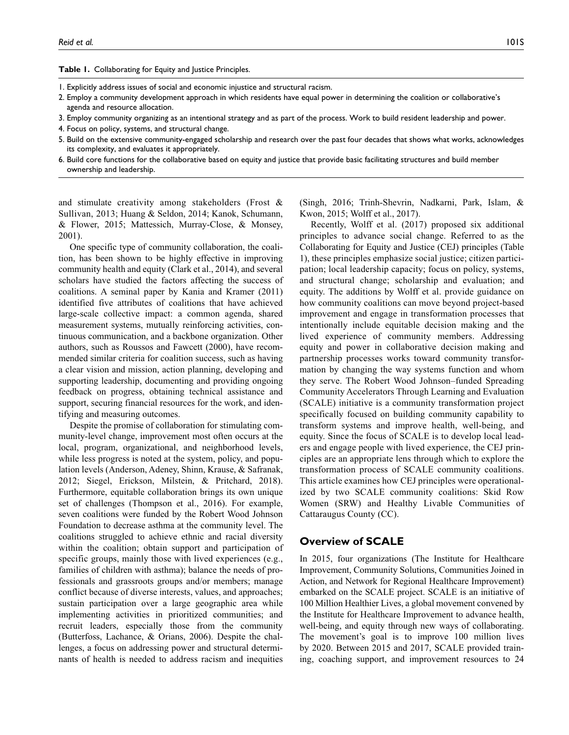**Table 1.** Collaborating for Equity and Justice Principles.

- 1. Explicitly address issues of social and economic injustice and structural racism.
- 2. Employ a community development approach in which residents have equal power in determining the coalition or collaborative's agenda and resource allocation.
- 3. Employ community organizing as an intentional strategy and as part of the process. Work to build resident leadership and power.
- 4. Focus on policy, systems, and structural change.
- 5. Build on the extensive community-engaged scholarship and research over the past four decades that shows what works, acknowledges its complexity, and evaluates it appropriately.
- 6. Build core functions for the collaborative based on equity and justice that provide basic facilitating structures and build member ownership and leadership.

and stimulate creativity among stakeholders (Frost & Sullivan, 2013; Huang & Seldon, 2014; Kanok, Schumann, & Flower, 2015; Mattessich, Murray-Close, & Monsey, 2001).

One specific type of community collaboration, the coalition, has been shown to be highly effective in improving community health and equity (Clark et al., 2014), and several scholars have studied the factors affecting the success of coalitions. A seminal paper by Kania and Kramer (2011) identified five attributes of coalitions that have achieved large-scale collective impact: a common agenda, shared measurement systems, mutually reinforcing activities, continuous communication, and a backbone organization. Other authors, such as Roussos and Fawcett (2000), have recommended similar criteria for coalition success, such as having a clear vision and mission, action planning, developing and supporting leadership, documenting and providing ongoing feedback on progress, obtaining technical assistance and support, securing financial resources for the work, and identifying and measuring outcomes.

Despite the promise of collaboration for stimulating community-level change, improvement most often occurs at the local, program, organizational, and neighborhood levels, while less progress is noted at the system, policy, and population levels (Anderson, Adeney, Shinn, Krause, & Safranak, 2012; Siegel, Erickson, Milstein, & Pritchard, 2018). Furthermore, equitable collaboration brings its own unique set of challenges (Thompson et al., 2016). For example, seven coalitions were funded by the Robert Wood Johnson Foundation to decrease asthma at the community level. The coalitions struggled to achieve ethnic and racial diversity within the coalition; obtain support and participation of specific groups, mainly those with lived experiences (e.g., families of children with asthma); balance the needs of professionals and grassroots groups and/or members; manage conflict because of diverse interests, values, and approaches; sustain participation over a large geographic area while implementing activities in prioritized communities; and recruit leaders, especially those from the community (Butterfoss, Lachance, & Orians, 2006). Despite the challenges, a focus on addressing power and structural determinants of health is needed to address racism and inequities

(Singh, 2016; Trinh-Shevrin, Nadkarni, Park, Islam, & Kwon, 2015; Wolff et al., 2017).

Recently, Wolff et al. (2017) proposed six additional principles to advance social change. Referred to as the Collaborating for Equity and Justice (CEJ) principles (Table 1), these principles emphasize social justice; citizen participation; local leadership capacity; focus on policy, systems, and structural change; scholarship and evaluation; and equity. The additions by Wolff et al. provide guidance on how community coalitions can move beyond project-based improvement and engage in transformation processes that intentionally include equitable decision making and the lived experience of community members. Addressing equity and power in collaborative decision making and partnership processes works toward community transformation by changing the way systems function and whom they serve. The Robert Wood Johnson–funded Spreading Community Accelerators Through Learning and Evaluation (SCALE) initiative is a community transformation project specifically focused on building community capability to transform systems and improve health, well-being, and equity. Since the focus of SCALE is to develop local leaders and engage people with lived experience, the CEJ principles are an appropriate lens through which to explore the transformation process of SCALE community coalitions. This article examines how CEJ principles were operationalized by two SCALE community coalitions: Skid Row Women (SRW) and Healthy Livable Communities of Cattaraugus County (CC).

## **Overview of SCALE**

In 2015, four organizations (The Institute for Healthcare Improvement, Community Solutions, Communities Joined in Action, and Network for Regional Healthcare Improvement) embarked on the SCALE project. SCALE is an initiative of 100 Million Healthier Lives, a global movement convened by the Institute for Healthcare Improvement to advance health, well-being, and equity through new ways of collaborating. The movement's goal is to improve 100 million lives by 2020. Between 2015 and 2017, SCALE provided training, coaching support, and improvement resources to 24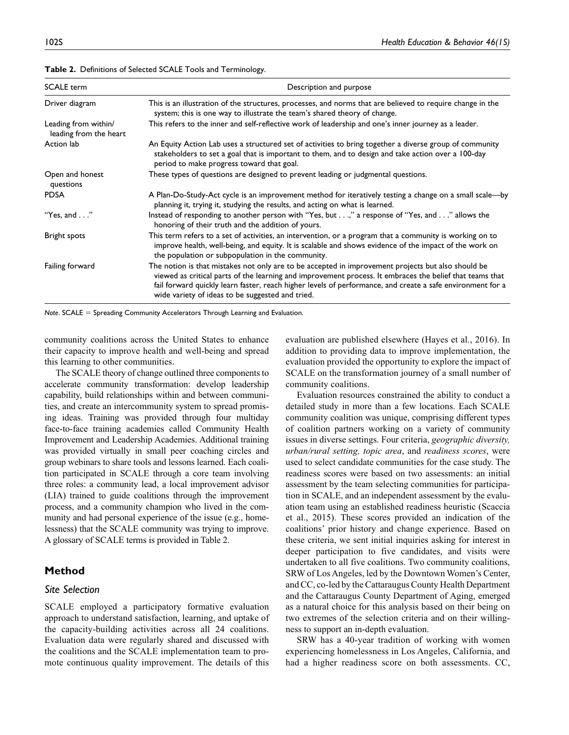| <b>SCALE</b> term                              | Description and purpose                                                                                                                                                                                                                                                                                                                                                          |  |  |
|------------------------------------------------|----------------------------------------------------------------------------------------------------------------------------------------------------------------------------------------------------------------------------------------------------------------------------------------------------------------------------------------------------------------------------------|--|--|
| Driver diagram                                 | This is an illustration of the structures, processes, and norms that are believed to require change in the<br>system; this is one way to illustrate the team's shared theory of change.                                                                                                                                                                                          |  |  |
| Leading from within/<br>leading from the heart | This refers to the inner and self-reflective work of leadership and one's inner journey as a leader.                                                                                                                                                                                                                                                                             |  |  |
| Action lab                                     | An Equity Action Lab uses a structured set of activities to bring together a diverse group of community<br>stakeholders to set a goal that is important to them, and to design and take action over a 100-day<br>period to make progress toward that goal.                                                                                                                       |  |  |
| Open and honest<br>questions                   | These types of questions are designed to prevent leading or judgmental questions.                                                                                                                                                                                                                                                                                                |  |  |
| <b>PDSA</b>                                    | A Plan-Do-Study-Act cycle is an improvement method for iteratively testing a change on a small scale—by<br>planning it, trying it, studying the results, and acting on what is learned.                                                                                                                                                                                          |  |  |
| "Yes, and $\ldots$ "                           | Instead of responding to another person with "Yes, but," a response of "Yes, and" allows the<br>honoring of their truth and the addition of yours.                                                                                                                                                                                                                               |  |  |
| Bright spots                                   | This term refers to a set of activities, an intervention, or a program that a community is working on to<br>improve health, well-being, and equity. It is scalable and shows evidence of the impact of the work on<br>the population or subpopulation in the community.                                                                                                          |  |  |
| Failing forward                                | The notion is that mistakes not only are to be accepted in improvement projects but also should be<br>viewed as critical parts of the learning and improvement process. It embraces the belief that teams that<br>fail forward quickly learn faster, reach higher levels of performance, and create a safe environment for a<br>wide variety of ideas to be suggested and tried. |  |  |

**Table 2.** Definitions of Selected SCALE Tools and Terminology.

*Note*. SCALE = Spreading Community Accelerators Through Learning and Evaluation.

community coalitions across the United States to enhance their capacity to improve health and well-being and spread this learning to other communities.

The SCALE theory of change outlined three components to accelerate community transformation: develop leadership capability, build relationships within and between communities, and create an intercommunity system to spread promising ideas. Training was provided through four multiday face-to-face training academies called Community Health Improvement and Leadership Academies. Additional training was provided virtually in small peer coaching circles and group webinars to share tools and lessons learned. Each coalition participated in SCALE through a core team involving three roles: a community lead, a local improvement advisor (LIA) trained to guide coalitions through the improvement process, and a community champion who lived in the community and had personal experience of the issue (e.g., homelessness) that the SCALE community was trying to improve. A glossary of SCALE terms is provided in Table 2.

# **Method**

#### *Site Selection*

SCALE employed a participatory formative evaluation approach to understand satisfaction, learning, and uptake of the capacity-building activities across all 24 coalitions. Evaluation data were regularly shared and discussed with the coalitions and the SCALE implementation team to promote continuous quality improvement. The details of this

evaluation are published elsewhere (Hayes et al., 2016). In addition to providing data to improve implementation, the evaluation provided the opportunity to explore the impact of SCALE on the transformation journey of a small number of community coalitions.

Evaluation resources constrained the ability to conduct a detailed study in more than a few locations. Each SCALE community coalition was unique, comprising different types of coalition partners working on a variety of community issues in diverse settings. Four criteria, *geographic diversity, urban/rural setting, topic area*, and *readiness scores*, were used to select candidate communities for the case study. The readiness scores were based on two assessments: an initial assessment by the team selecting communities for participation in SCALE, and an independent assessment by the evaluation team using an established readiness heuristic (Scaccia et al., 2015). These scores provided an indication of the coalitions' prior history and change experience. Based on these criteria, we sent initial inquiries asking for interest in deeper participation to five candidates, and visits were undertaken to all five coalitions. Two community coalitions, SRW of Los Angeles, led by the Downtown Women's Center, and CC, co-led by the Cattaraugus County Health Department and the Cattaraugus County Department of Aging, emerged as a natural choice for this analysis based on their being on two extremes of the selection criteria and on their willingness to support an in-depth evaluation.

SRW has a 40-year tradition of working with women experiencing homelessness in Los Angeles, California, and had a higher readiness score on both assessments. CC,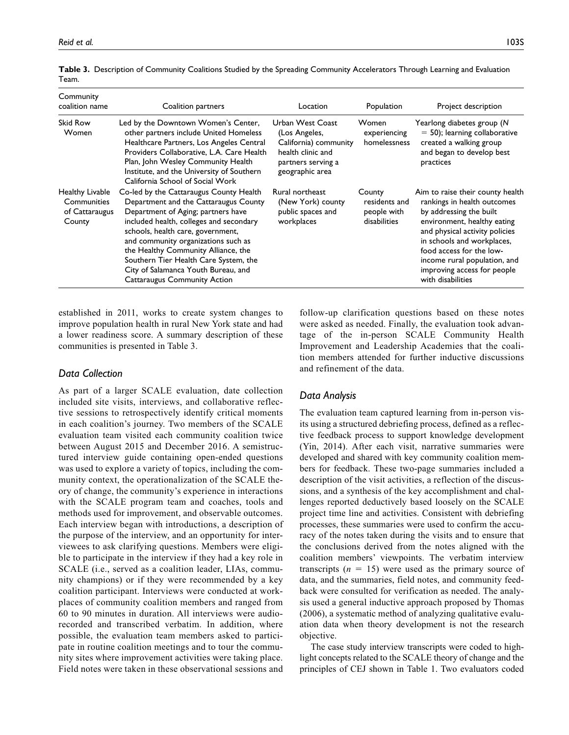| Community<br>coalition name                                | Coalition partners                                                                                                                                                                                                                                                                                                                                                                                          | Location                                                                                                                 | Population                                             | Project description                                                                                                                                                                                                                                                                                       |
|------------------------------------------------------------|-------------------------------------------------------------------------------------------------------------------------------------------------------------------------------------------------------------------------------------------------------------------------------------------------------------------------------------------------------------------------------------------------------------|--------------------------------------------------------------------------------------------------------------------------|--------------------------------------------------------|-----------------------------------------------------------------------------------------------------------------------------------------------------------------------------------------------------------------------------------------------------------------------------------------------------------|
| Skid Row<br>Women                                          | Led by the Downtown Women's Center,<br>other partners include United Homeless<br>Healthcare Partners, Los Angeles Central<br>Providers Collaborative, L.A. Care Health<br>Plan, John Wesley Community Health<br>Institute, and the University of Southern<br>California School of Social Work                                                                                                               | Urban West Coast<br>(Los Angeles,<br>California) community<br>health clinic and<br>partners serving a<br>geographic area | Women<br>experiencing<br>homelessness                  | Yearlong diabetes group (N<br>$=$ 50); learning collaborative<br>created a walking group<br>and began to develop best<br>practices                                                                                                                                                                        |
| Healthy Livable<br>Communities<br>of Cattaraugus<br>County | Co-led by the Cattaraugus County Health<br>Department and the Cattaraugus County<br>Department of Aging; partners have<br>included health, colleges and secondary<br>schools, health care, government,<br>and community organizations such as<br>the Healthy Community Alliance, the<br>Southern Tier Health Care System, the<br>City of Salamanca Youth Bureau, and<br><b>Cattaraugus Community Action</b> | Rural northeast<br>(New York) county<br>public spaces and<br>workplaces                                                  | County<br>residents and<br>people with<br>disabilities | Aim to raise their county health<br>rankings in health outcomes<br>by addressing the built<br>environment, healthy eating<br>and physical activity policies<br>in schools and workplaces,<br>food access for the low-<br>income rural population, and<br>improving access for people<br>with disabilities |

**Table 3.** Description of Community Coalitions Studied by the Spreading Community Accelerators Through Learning and Evaluation Team.

established in 2011, works to create system changes to improve population health in rural New York state and had a lower readiness score. A summary description of these communities is presented in Table 3.

### *Data Collection*

As part of a larger SCALE evaluation, date collection included site visits, interviews, and collaborative reflective sessions to retrospectively identify critical moments in each coalition's journey. Two members of the SCALE evaluation team visited each community coalition twice between August 2015 and December 2016. A semistructured interview guide containing open-ended questions was used to explore a variety of topics, including the community context, the operationalization of the SCALE theory of change, the community's experience in interactions with the SCALE program team and coaches, tools and methods used for improvement, and observable outcomes. Each interview began with introductions, a description of the purpose of the interview, and an opportunity for interviewees to ask clarifying questions. Members were eligible to participate in the interview if they had a key role in SCALE (i.e., served as a coalition leader, LIAs, community champions) or if they were recommended by a key coalition participant. Interviews were conducted at workplaces of community coalition members and ranged from 60 to 90 minutes in duration. All interviews were audiorecorded and transcribed verbatim. In addition, where possible, the evaluation team members asked to participate in routine coalition meetings and to tour the community sites where improvement activities were taking place. Field notes were taken in these observational sessions and follow-up clarification questions based on these notes were asked as needed. Finally, the evaluation took advantage of the in-person SCALE Community Health Improvement and Leadership Academies that the coalition members attended for further inductive discussions and refinement of the data.

## *Data Analysis*

The evaluation team captured learning from in-person visits using a structured debriefing process, defined as a reflective feedback process to support knowledge development (Yin, 2014). After each visit, narrative summaries were developed and shared with key community coalition members for feedback. These two-page summaries included a description of the visit activities, a reflection of the discussions, and a synthesis of the key accomplishment and challenges reported deductively based loosely on the SCALE project time line and activities. Consistent with debriefing processes, these summaries were used to confirm the accuracy of the notes taken during the visits and to ensure that the conclusions derived from the notes aligned with the coalition members' viewpoints. The verbatim interview transcripts  $(n = 15)$  were used as the primary source of data, and the summaries, field notes, and community feedback were consulted for verification as needed. The analysis used a general inductive approach proposed by Thomas (2006), a systematic method of analyzing qualitative evaluation data when theory development is not the research objective.

The case study interview transcripts were coded to highlight concepts related to the SCALE theory of change and the principles of CEJ shown in Table 1. Two evaluators coded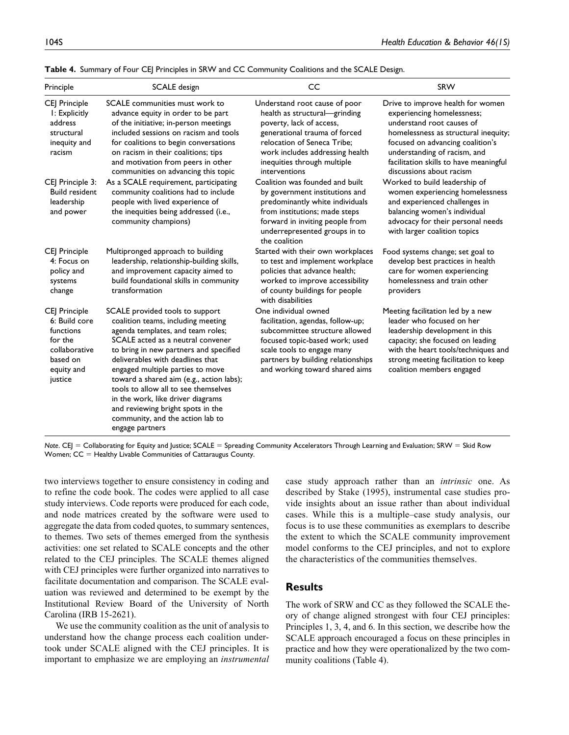| Principle                                                                                                    | SCALE design                                                                                                                                                                                                                                                                                                                                                                                                                                                                           | CC                                                                                                                                                                                                                                            | SRW                                                                                                                                                                                                                                                                            |
|--------------------------------------------------------------------------------------------------------------|----------------------------------------------------------------------------------------------------------------------------------------------------------------------------------------------------------------------------------------------------------------------------------------------------------------------------------------------------------------------------------------------------------------------------------------------------------------------------------------|-----------------------------------------------------------------------------------------------------------------------------------------------------------------------------------------------------------------------------------------------|--------------------------------------------------------------------------------------------------------------------------------------------------------------------------------------------------------------------------------------------------------------------------------|
| CEJ Principle<br>I: Explicitly<br>address<br>structural<br>inequity and<br>racism                            | SCALE communities must work to<br>advance equity in order to be part<br>of the initiative; in-person meetings<br>included sessions on racism and tools<br>for coalitions to begin conversations<br>on racism in their coalitions; tips<br>and motivation from peers in other<br>communities on advancing this topic                                                                                                                                                                    | Understand root cause of poor<br>health as structural-grinding<br>poverty, lack of access,<br>generational trauma of forced<br>relocation of Seneca Tribe;<br>work includes addressing health<br>inequities through multiple<br>interventions | Drive to improve health for women<br>experiencing homelessness;<br>understand root causes of<br>homelessness as structural inequity;<br>focused on advancing coalition's<br>understanding of racism, and<br>facilitation skills to have meaningful<br>discussions about racism |
| CEJ Principle 3:<br><b>Build resident</b><br>leadership<br>and power                                         | As a SCALE requirement, participating<br>community coalitions had to include<br>people with lived experience of<br>the inequities being addressed (i.e.,<br>community champions)                                                                                                                                                                                                                                                                                                       | Coalition was founded and built<br>by government institutions and<br>predominantly white individuals<br>from institutions; made steps<br>forward in inviting people from<br>underrepresented groups in to<br>the coalition                    | Worked to build leadership of<br>women experiencing homelessness<br>and experienced challenges in<br>balancing women's individual<br>advocacy for their personal needs<br>with larger coalition topics                                                                         |
| CEJ Principle<br>4: Focus on<br>policy and<br>systems<br>change                                              | Multipronged approach to building<br>leadership, relationship-building skills,<br>and improvement capacity aimed to<br>build foundational skills in community<br>transformation                                                                                                                                                                                                                                                                                                        | Started with their own workplaces<br>to test and implement workplace<br>policies that advance health;<br>worked to improve accessibility<br>of county buildings for people<br>with disabilities                                               | Food systems change; set goal to<br>develop best practices in health<br>care for women experiencing<br>homelessness and train other<br>providers                                                                                                                               |
| CEJ Principle<br>6: Build core<br>functions<br>for the<br>collaborative<br>based on<br>equity and<br>justice | SCALE provided tools to support<br>coalition teams, including meeting<br>agenda templates, and team roles;<br>SCALE acted as a neutral convener<br>to bring in new partners and specified<br>deliverables with deadlines that<br>engaged multiple parties to move<br>toward a shared aim (e.g., action labs);<br>tools to allow all to see themselves<br>in the work, like driver diagrams<br>and reviewing bright spots in the<br>community, and the action lab to<br>engage partners | One individual owned<br>facilitation, agendas, follow-up;<br>subcommittee structure allowed<br>focused topic-based work; used<br>scale tools to engage many<br>partners by building relationships<br>and working toward shared aims           | Meeting facilitation led by a new<br>leader who focused on her<br>leadership development in this<br>capacity; she focused on leading<br>with the heart tools/techniques and<br>strong meeting facilitation to keep<br>coalition members engaged                                |

**Table 4.** Summary of Four CEJ Principles in SRW and CC Community Coalitions and the SCALE Design.

*Note*. CEJ = Collaborating for Equity and Justice; SCALE = Spreading Community Accelerators Through Learning and Evaluation; SRW = Skid Row Women; CC = Healthy Livable Communities of Cattaraugus County.

two interviews together to ensure consistency in coding and to refine the code book. The codes were applied to all case study interviews. Code reports were produced for each code, and node matrices created by the software were used to aggregate the data from coded quotes, to summary sentences, to themes. Two sets of themes emerged from the synthesis activities: one set related to SCALE concepts and the other related to the CEJ principles. The SCALE themes aligned with CEJ principles were further organized into narratives to facilitate documentation and comparison. The SCALE evaluation was reviewed and determined to be exempt by the Institutional Review Board of the University of North Carolina (IRB 15-2621).

We use the community coalition as the unit of analysis to understand how the change process each coalition undertook under SCALE aligned with the CEJ principles. It is important to emphasize we are employing an *instrumental* case study approach rather than an *intrinsic* one. As described by Stake (1995), instrumental case studies provide insights about an issue rather than about individual cases. While this is a multiple–case study analysis, our focus is to use these communities as exemplars to describe the extent to which the SCALE community improvement model conforms to the CEJ principles, and not to explore the characteristics of the communities themselves.

## **Results**

The work of SRW and CC as they followed the SCALE theory of change aligned strongest with four CEJ principles: Principles 1, 3, 4, and 6. In this section, we describe how the SCALE approach encouraged a focus on these principles in practice and how they were operationalized by the two community coalitions (Table 4).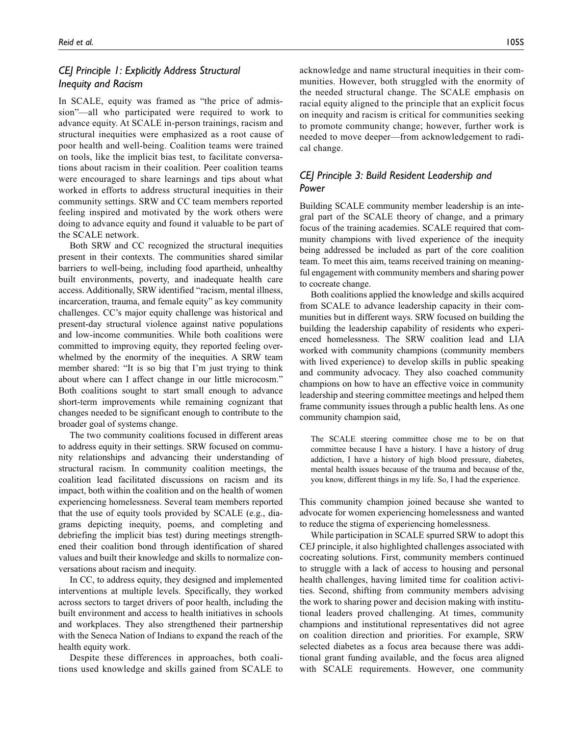# *CEJ Principle 1: Explicitly Address Structural Inequity and Racism*

In SCALE, equity was framed as "the price of admission"—all who participated were required to work to advance equity. At SCALE in-person trainings, racism and structural inequities were emphasized as a root cause of poor health and well-being. Coalition teams were trained on tools, like the implicit bias test, to facilitate conversations about racism in their coalition. Peer coalition teams were encouraged to share learnings and tips about what worked in efforts to address structural inequities in their community settings. SRW and CC team members reported feeling inspired and motivated by the work others were doing to advance equity and found it valuable to be part of the SCALE network.

Both SRW and CC recognized the structural inequities present in their contexts. The communities shared similar barriers to well-being, including food apartheid, unhealthy built environments, poverty, and inadequate health care access. Additionally, SRW identified "racism, mental illness, incarceration, trauma, and female equity" as key community challenges. CC's major equity challenge was historical and present-day structural violence against native populations and low-income communities. While both coalitions were committed to improving equity, they reported feeling overwhelmed by the enormity of the inequities. A SRW team member shared: "It is so big that I'm just trying to think about where can I affect change in our little microcosm." Both coalitions sought to start small enough to advance short-term improvements while remaining cognizant that changes needed to be significant enough to contribute to the broader goal of systems change.

The two community coalitions focused in different areas to address equity in their settings. SRW focused on community relationships and advancing their understanding of structural racism. In community coalition meetings, the coalition lead facilitated discussions on racism and its impact, both within the coalition and on the health of women experiencing homelessness. Several team members reported that the use of equity tools provided by SCALE (e.g., diagrams depicting inequity, poems, and completing and debriefing the implicit bias test) during meetings strengthened their coalition bond through identification of shared values and built their knowledge and skills to normalize conversations about racism and inequity.

In CC, to address equity, they designed and implemented interventions at multiple levels. Specifically, they worked across sectors to target drivers of poor health, including the built environment and access to health initiatives in schools and workplaces. They also strengthened their partnership with the Seneca Nation of Indians to expand the reach of the health equity work.

Despite these differences in approaches, both coalitions used knowledge and skills gained from SCALE to acknowledge and name structural inequities in their communities. However, both struggled with the enormity of the needed structural change. The SCALE emphasis on racial equity aligned to the principle that an explicit focus on inequity and racism is critical for communities seeking to promote community change; however, further work is needed to move deeper—from acknowledgement to radical change.

# *CEJ Principle 3: Build Resident Leadership and Power*

Building SCALE community member leadership is an integral part of the SCALE theory of change, and a primary focus of the training academies. SCALE required that community champions with lived experience of the inequity being addressed be included as part of the core coalition team. To meet this aim, teams received training on meaningful engagement with community members and sharing power to cocreate change.

Both coalitions applied the knowledge and skills acquired from SCALE to advance leadership capacity in their communities but in different ways. SRW focused on building the building the leadership capability of residents who experienced homelessness. The SRW coalition lead and LIA worked with community champions (community members with lived experience) to develop skills in public speaking and community advocacy. They also coached community champions on how to have an effective voice in community leadership and steering committee meetings and helped them frame community issues through a public health lens. As one community champion said,

The SCALE steering committee chose me to be on that committee because I have a history. I have a history of drug addiction, I have a history of high blood pressure, diabetes, mental health issues because of the trauma and because of the, you know, different things in my life. So, I had the experience.

This community champion joined because she wanted to advocate for women experiencing homelessness and wanted to reduce the stigma of experiencing homelessness.

While participation in SCALE spurred SRW to adopt this CEJ principle, it also highlighted challenges associated with cocreating solutions. First, community members continued to struggle with a lack of access to housing and personal health challenges, having limited time for coalition activities. Second, shifting from community members advising the work to sharing power and decision making with institutional leaders proved challenging. At times, community champions and institutional representatives did not agree on coalition direction and priorities. For example, SRW selected diabetes as a focus area because there was additional grant funding available, and the focus area aligned with SCALE requirements. However, one community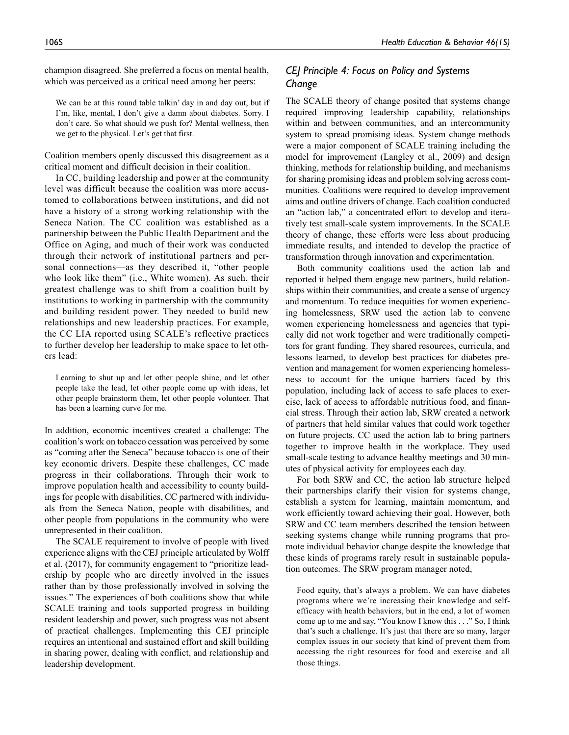champion disagreed. She preferred a focus on mental health, which was perceived as a critical need among her peers:

We can be at this round table talkin' day in and day out, but if I'm, like, mental, I don't give a damn about diabetes. Sorry. I don't care. So what should we push for? Mental wellness, then we get to the physical. Let's get that first.

Coalition members openly discussed this disagreement as a critical moment and difficult decision in their coalition.

In CC, building leadership and power at the community level was difficult because the coalition was more accustomed to collaborations between institutions, and did not have a history of a strong working relationship with the Seneca Nation. The CC coalition was established as a partnership between the Public Health Department and the Office on Aging, and much of their work was conducted through their network of institutional partners and personal connections—as they described it, "other people who look like them" (i.e., White women). As such, their greatest challenge was to shift from a coalition built by institutions to working in partnership with the community and building resident power. They needed to build new relationships and new leadership practices. For example, the CC LIA reported using SCALE's reflective practices to further develop her leadership to make space to let others lead:

Learning to shut up and let other people shine, and let other people take the lead, let other people come up with ideas, let other people brainstorm them, let other people volunteer. That has been a learning curve for me.

In addition, economic incentives created a challenge: The coalition's work on tobacco cessation was perceived by some as "coming after the Seneca" because tobacco is one of their key economic drivers. Despite these challenges, CC made progress in their collaborations. Through their work to improve population health and accessibility to county buildings for people with disabilities, CC partnered with individuals from the Seneca Nation, people with disabilities, and other people from populations in the community who were unrepresented in their coalition.

The SCALE requirement to involve of people with lived experience aligns with the CEJ principle articulated by Wolff et al. (2017), for community engagement to "prioritize leadership by people who are directly involved in the issues rather than by those professionally involved in solving the issues." The experiences of both coalitions show that while SCALE training and tools supported progress in building resident leadership and power, such progress was not absent of practical challenges. Implementing this CEJ principle requires an intentional and sustained effort and skill building in sharing power, dealing with conflict, and relationship and leadership development.

# *CEJ Principle 4: Focus on Policy and Systems Change*

The SCALE theory of change posited that systems change required improving leadership capability, relationships within and between communities, and an intercommunity system to spread promising ideas. System change methods were a major component of SCALE training including the model for improvement (Langley et al., 2009) and design thinking, methods for relationship building, and mechanisms for sharing promising ideas and problem solving across communities. Coalitions were required to develop improvement aims and outline drivers of change. Each coalition conducted an "action lab," a concentrated effort to develop and iteratively test small-scale system improvements. In the SCALE theory of change, these efforts were less about producing immediate results, and intended to develop the practice of transformation through innovation and experimentation.

Both community coalitions used the action lab and reported it helped them engage new partners, build relationships within their communities, and create a sense of urgency and momentum. To reduce inequities for women experiencing homelessness, SRW used the action lab to convene women experiencing homelessness and agencies that typically did not work together and were traditionally competitors for grant funding. They shared resources, curricula, and lessons learned, to develop best practices for diabetes prevention and management for women experiencing homelessness to account for the unique barriers faced by this population, including lack of access to safe places to exercise, lack of access to affordable nutritious food, and financial stress. Through their action lab, SRW created a network of partners that held similar values that could work together on future projects. CC used the action lab to bring partners together to improve health in the workplace. They used small-scale testing to advance healthy meetings and 30 minutes of physical activity for employees each day.

For both SRW and CC, the action lab structure helped their partnerships clarify their vision for systems change, establish a system for learning, maintain momentum, and work efficiently toward achieving their goal. However, both SRW and CC team members described the tension between seeking systems change while running programs that promote individual behavior change despite the knowledge that these kinds of programs rarely result in sustainable population outcomes. The SRW program manager noted,

Food equity, that's always a problem. We can have diabetes programs where we're increasing their knowledge and selfefficacy with health behaviors, but in the end, a lot of women come up to me and say, "You know I know this . . ." So, I think that's such a challenge. It's just that there are so many, larger complex issues in our society that kind of prevent them from accessing the right resources for food and exercise and all those things.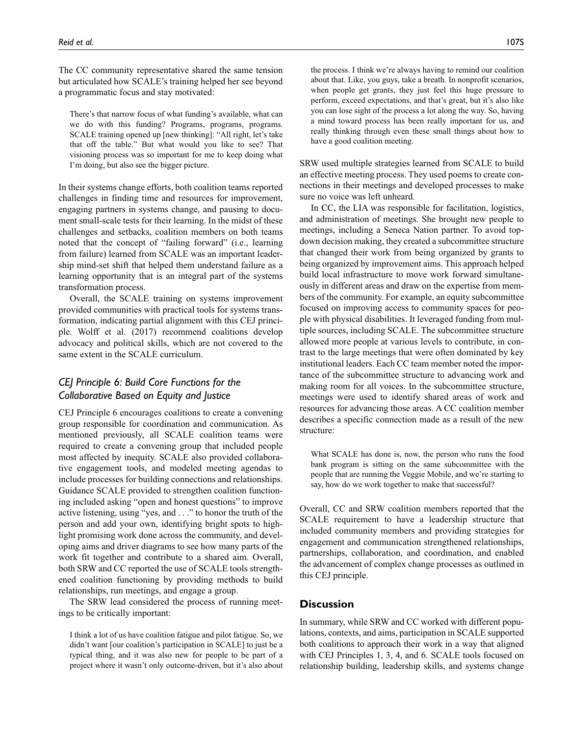The CC community representative shared the same tension but articulated how SCALE's training helped her see beyond a programmatic focus and stay motivated:

There's that narrow focus of what funding's available, what can we do with this funding? Programs, programs, programs. SCALE training opened up [new thinking]: "All right, let's take that off the table." But what would you like to see? That visioning process was so important for me to keep doing what I'm doing, but also see the bigger picture.

In their systems change efforts, both coalition teams reported challenges in finding time and resources for improvement, engaging partners in systems change, and pausing to document small-scale tests for their learning. In the midst of these challenges and setbacks, coalition members on both teams noted that the concept of "failing forward" (i.e., learning from failure) learned from SCALE was an important leadership mind-set shift that helped them understand failure as a learning opportunity that is an integral part of the systems transformation process.

Overall, the SCALE training on systems improvement provided communities with practical tools for systems transformation, indicating partial alignment with this CEJ principle. Wolff et al. (2017) recommend coalitions develop advocacy and political skills, which are not covered to the same extent in the SCALE curriculum.

# *CEJ Principle 6: Build Core Functions for the Collaborative Based on Equity and Justice*

CEJ Principle 6 encourages coalitions to create a convening group responsible for coordination and communication. As mentioned previously, all SCALE coalition teams were required to create a convening group that included people most affected by inequity. SCALE also provided collaborative engagement tools, and modeled meeting agendas to include processes for building connections and relationships. Guidance SCALE provided to strengthen coalition functioning included asking "open and honest questions" to improve active listening, using "yes, and . . ." to honor the truth of the person and add your own, identifying bright spots to highlight promising work done across the community, and developing aims and driver diagrams to see how many parts of the work fit together and contribute to a shared aim. Overall, both SRW and CC reported the use of SCALE tools strengthened coalition functioning by providing methods to build relationships, run meetings, and engage a group.

The SRW lead considered the process of running meetings to be critically important:

I think a lot of us have coalition fatigue and pilot fatigue. So, we didn't want [our coalition's participation in SCALE] to just be a typical thing, and it was also new for people to be part of a project where it wasn't only outcome-driven, but it's also about the process. I think we're always having to remind our coalition about that. Like, you guys, take a breath. In nonprofit scenarios, when people get grants, they just feel this huge pressure to perform, exceed expectations, and that's great, but it's also like you can lose sight of the process a lot along the way. So, having a mind toward process has been really important for us, and really thinking through even these small things about how to have a good coalition meeting.

SRW used multiple strategies learned from SCALE to build an effective meeting process. They used poems to create connections in their meetings and developed processes to make sure no voice was left unheard.

In CC, the LIA was responsible for facilitation, logistics, and administration of meetings. She brought new people to meetings, including a Seneca Nation partner. To avoid topdown decision making, they created a subcommittee structure that changed their work from being organized by grants to being organized by improvement aims. This approach helped build local infrastructure to move work forward simultaneously in different areas and draw on the expertise from members of the community. For example, an equity subcommittee focused on improving access to community spaces for people with physical disabilities. It leveraged funding from multiple sources, including SCALE. The subcommittee structure allowed more people at various levels to contribute, in contrast to the large meetings that were often dominated by key institutional leaders. Each CC team member noted the importance of the subcommittee structure to advancing work and making room for all voices. In the subcommittee structure, meetings were used to identify shared areas of work and resources for advancing those areas. A CC coalition member describes a specific connection made as a result of the new structure:

What SCALE has done is, now, the person who runs the food bank program is sitting on the same subcommittee with the people that are running the Veggie Mobile, and we're starting to say, how do we work together to make that successful?

Overall, CC and SRW coalition members reported that the SCALE requirement to have a leadership structure that included community members and providing strategies for engagement and communication strengthened relationships, partnerships, collaboration, and coordination, and enabled the advancement of complex change processes as outlined in this CEJ principle.

### **Discussion**

In summary, while SRW and CC worked with different populations, contexts, and aims, participation in SCALE supported both coalitions to approach their work in a way that aligned with CEJ Principles 1, 3, 4, and 6. SCALE tools focused on relationship building, leadership skills, and systems change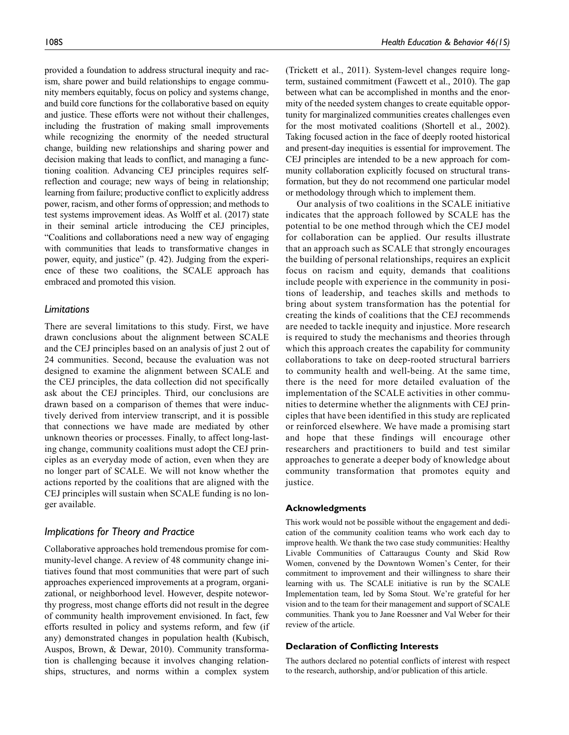provided a foundation to address structural inequity and racism, share power and build relationships to engage community members equitably, focus on policy and systems change, and build core functions for the collaborative based on equity and justice. These efforts were not without their challenges, including the frustration of making small improvements while recognizing the enormity of the needed structural change, building new relationships and sharing power and decision making that leads to conflict, and managing a functioning coalition. Advancing CEJ principles requires selfreflection and courage; new ways of being in relationship; learning from failure; productive conflict to explicitly address power, racism, and other forms of oppression; and methods to test systems improvement ideas. As Wolff et al. (2017) state in their seminal article introducing the CEJ principles, "Coalitions and collaborations need a new way of engaging with communities that leads to transformative changes in power, equity, and justice" (p. 42). Judging from the experience of these two coalitions, the SCALE approach has embraced and promoted this vision.

#### *Limitations*

There are several limitations to this study. First, we have drawn conclusions about the alignment between SCALE and the CEJ principles based on an analysis of just 2 out of 24 communities. Second, because the evaluation was not designed to examine the alignment between SCALE and the CEJ principles, the data collection did not specifically ask about the CEJ principles. Third, our conclusions are drawn based on a comparison of themes that were inductively derived from interview transcript, and it is possible that connections we have made are mediated by other unknown theories or processes. Finally, to affect long-lasting change, community coalitions must adopt the CEJ principles as an everyday mode of action, even when they are no longer part of SCALE. We will not know whether the actions reported by the coalitions that are aligned with the CEJ principles will sustain when SCALE funding is no longer available.

## *Implications for Theory and Practice*

Collaborative approaches hold tremendous promise for community-level change. A review of 48 community change initiatives found that most communities that were part of such approaches experienced improvements at a program, organizational, or neighborhood level. However, despite noteworthy progress, most change efforts did not result in the degree of community health improvement envisioned. In fact, few efforts resulted in policy and systems reform, and few (if any) demonstrated changes in population health (Kubisch, Auspos, Brown, & Dewar, 2010). Community transformation is challenging because it involves changing relationships, structures, and norms within a complex system

(Trickett et al., 2011). System-level changes require longterm, sustained commitment (Fawcett et al., 2010). The gap between what can be accomplished in months and the enormity of the needed system changes to create equitable opportunity for marginalized communities creates challenges even for the most motivated coalitions (Shortell et al., 2002). Taking focused action in the face of deeply rooted historical and present-day inequities is essential for improvement. The CEJ principles are intended to be a new approach for community collaboration explicitly focused on structural transformation, but they do not recommend one particular model or methodology through which to implement them.

Our analysis of two coalitions in the SCALE initiative indicates that the approach followed by SCALE has the potential to be one method through which the CEJ model for collaboration can be applied. Our results illustrate that an approach such as SCALE that strongly encourages the building of personal relationships, requires an explicit focus on racism and equity, demands that coalitions include people with experience in the community in positions of leadership, and teaches skills and methods to bring about system transformation has the potential for creating the kinds of coalitions that the CEJ recommends are needed to tackle inequity and injustice. More research is required to study the mechanisms and theories through which this approach creates the capability for community collaborations to take on deep-rooted structural barriers to community health and well-being. At the same time, there is the need for more detailed evaluation of the implementation of the SCALE activities in other communities to determine whether the alignments with CEJ principles that have been identified in this study are replicated or reinforced elsewhere. We have made a promising start and hope that these findings will encourage other researchers and practitioners to build and test similar approaches to generate a deeper body of knowledge about community transformation that promotes equity and justice.

#### **Acknowledgments**

This work would not be possible without the engagement and dedication of the community coalition teams who work each day to improve health. We thank the two case study communities: Healthy Livable Communities of Cattaraugus County and Skid Row Women, convened by the Downtown Women's Center, for their commitment to improvement and their willingness to share their learning with us. The SCALE initiative is run by the SCALE Implementation team, led by Soma Stout. We're grateful for her vision and to the team for their management and support of SCALE communities. Thank you to Jane Roessner and Val Weber for their review of the article.

#### **Declaration of Conflicting Interests**

The authors declared no potential conflicts of interest with respect to the research, authorship, and/or publication of this article.